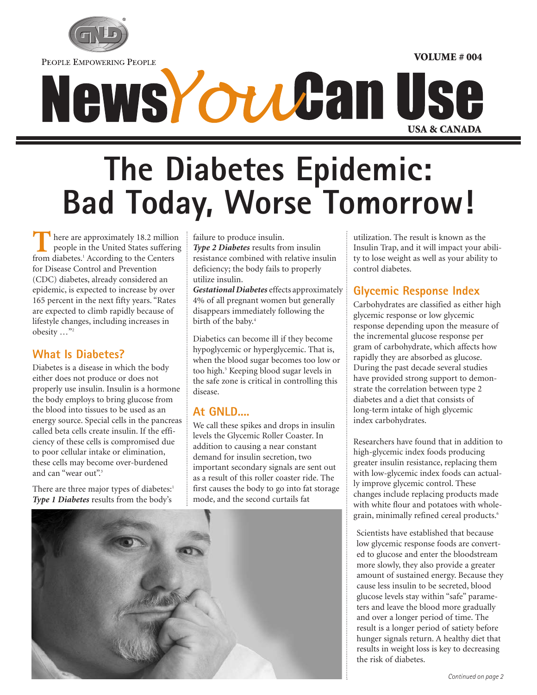

PEOPLE EMPOWERING PEOPLE

# News*Youta*n Use

## **The Diabetes Epidemic: Bad Today, Worse Tomorrow!**

here are approximately 18.2 million people in the United States suffering **FROM** here are approximately 18.2 millio people in the United States suffering from diabetes.<sup>1</sup> According to the Centers for Disease Control and Prevention (CDC) diabetes, already considered an epidemic, is expected to increase by over 165 percent in the next fifty years. "Rates are expected to climb rapidly because of lifestyle changes, including increases in obesity …"2

#### **What Is Diabetes?**

Diabetes is a disease in which the body either does not produce or does not properly use insulin. Insulin is a hormone the body employs to bring glucose from the blood into tissues to be used as an energy source. Special cells in the pancreas called beta cells create insulin. If the efficiency of these cells is compromised due to poor cellular intake or elimination, these cells may become over-burdened and can "wear out".<sup>3</sup>

There are three major types of diabetes:<sup>1</sup> *Type 1 Diabetes* results from the body's

failure to produce insulin. *Type 2 Diabetes* results from insulin resistance combined with relative insulin deficiency; the body fails to properly utilize insulin.

*Gestational Diabetes* effects approximately 4% of all pregnant women but generally disappears immediately following the birth of the baby.<sup>4</sup>

Diabetics can become ill if they become hypoglycemic or hyperglycemic. That is, when the blood sugar becomes too low or too high.<sup>5</sup> Keeping blood sugar levels in the safe zone is critical in controlling this disease.

#### **At GNLD....**

We call these spikes and drops in insulin levels the Glycemic Roller Coaster. In addition to causing a near constant demand for insulin secretion, two important secondary signals are sent out as a result of this roller coaster ride. The first causes the body to go into fat storage mode, and the second curtails fat



utilization. The result is known as the Insulin Trap, and it will impact your ability to lose weight as well as your ability to control diabetes.

**VOLUME # 004**

#### **Glycemic Response Index**

Carbohydrates are classified as either high glycemic response or low glycemic response depending upon the measure of the incremental glucose response per gram of carbohydrate, which affects how rapidly they are absorbed as glucose. During the past decade several studies have provided strong support to demonstrate the correlation between type 2 diabetes and a diet that consists of long-term intake of high glycemic index carbohydrates.

Researchers have found that in addition to high-glycemic index foods producing greater insulin resistance, replacing them with low-glycemic index foods can actually improve glycemic control. These changes include replacing products made with white flour and potatoes with wholegrain, minimally refined cereal products.<sup>6</sup>

Scientists have established that because low glycemic response foods are converted to glucose and enter the bloodstream more slowly, they also provide a greater amount of sustained energy. Because they cause less insulin to be secreted, blood glucose levels stay within "safe" parameters and leave the blood more gradually and over a longer period of time. The result is a longer period of satiety before hunger signals return. A healthy diet that results in weight loss is key to decreasing the risk of diabetes.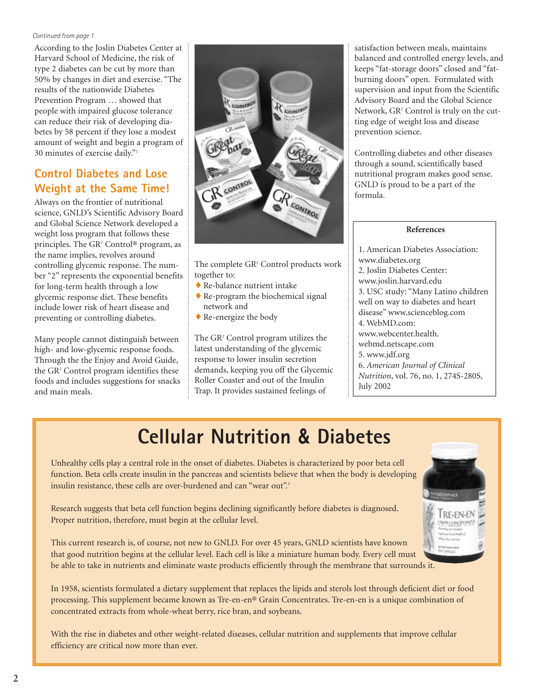#### *Continued from page 1*

According to the Joslin Diabetes Center at Harvard School of Medicine, the risk of type 2 diabetes can be cut by more than 50% by changes in diet and exercise. "The results of the nationwide Diabetes Prevention Program … showed that people with impaired glucose tolerance can reduce their risk of developing diabetes by 58 percent if they lose a modest amount of weight and begin a program of 30 minutes of exercise daily."2

#### **Control Diabetes and Lose Weight at the Same Time!**

Always on the frontier of nutritional science, GNLD's Scientific Advisory Board and Global Science Network developed a weight loss program that follows these principles. The GR<sup>2</sup> Control® program, as the name implies, revolves around controlling glycemic response. The number "2" represents the exponential benefits for long-term health through a low glycemic response diet. These benefits include lower risk of heart disease and preventing or controlling diabetes.

Many people cannot distinguish between high- and low-glycemic response foods. Through the the Enjoy and Avoid Guide, the GR<sup>2</sup> Control program identifies these foods and includes suggestions for snacks and main meals.



The complete GR<sup>2</sup> Control products work together to:

- ♦ Re-balance nutrient intake
- $\triangle$  Re-program the biochemical signal network and
- ♦ Re-energize the body

The GR<sup>2</sup> Control program utilizes the latest understanding of the glycemic response to lower insulin secretion demands, keeping you off the Glycemic Roller Coaster and out of the Insulin Trap. It provides sustained feelings of

satisfaction between meals, maintains balanced and controlled energy levels, and keeps "fat-storage doors" closed and "fatburning doors" open. Formulated with supervision and input from the Scientific Advisory Board and the Global Science Network, GR<sup>2</sup> Control is truly on the cutting edge of weight loss and disease prevention science.

Controlling diabetes and other diseases through a sound, scientifically based nutritional program makes good sense. GNLD is proud to be a part of the formula.

#### **References**

1. American Diabetes Association: www.diabetes.org 2. Joslin Diabetes Center: www.joslin.harvard.edu 3. USC study: "Many Latino children well on way to diabetes and heart disease" www.scienceblog.com 4. WebMD.com: www.webcenter.health. webmd.netscape.com 5. www.jdf.org 6. *American Journal of Clinical Nutrition*, vol. 76, no. 1, 274S-280S, July 2002

### **Cellular Nutrition & Diabetes**

Unhealthy cells play a central role in the onset of diabetes. Diabetes is characterized by poor beta cell function. Beta cells create insulin in the pancreas and scientists believe that when the body is developing insulin resistance, these cells are over-burdened and can "wear out".<sup>3</sup>



Research suggests that beta cell function begins declining significantly before diabetes is diagnosed. Proper nutrition, therefore, must begin at the cellular level.

This current research is, of course, not new to GNLD. For over 45 years, GNLD scientists have known that good nutrition begins at the cellular level. Each cell is like a miniature human body. Every cell must be able to take in nutrients and eliminate waste products efficiently through the membrane that surrounds it.

In 1958, scientists formulated a dietary supplement that replaces the lipids and sterols lost through deficient diet or food processing. This supplement became known as Tre-en-en® Grain Concentrates. Tre-en-en is a unique combination of concentrated extracts from whole-wheat berry, rice bran, and soybeans.

With the rise in diabetes and other weight-related diseases, cellular nutrition and supplements that improve cellular efficiency are critical now more than ever.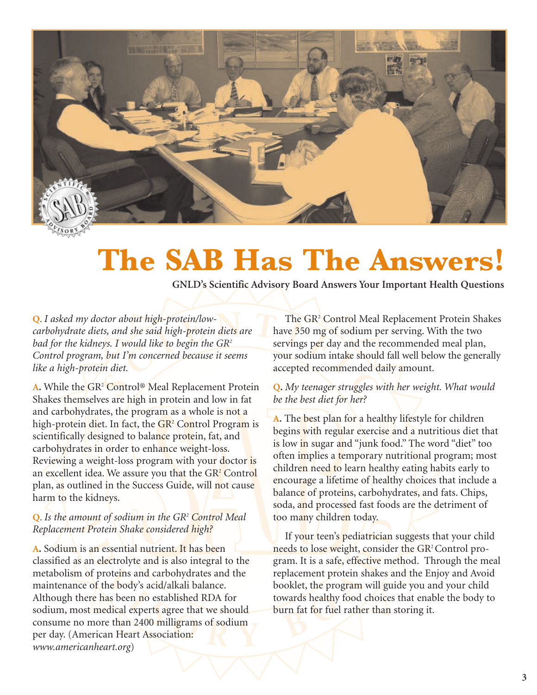

### **The SAB Has The Answers!**

**GNLD's Scientific Advisory Board Answers Your Important Health Questions**

**Q**. *I asked my doctor about high-protein/lowcarbohydrate diets, and she said high-protein diets are bad for the kidneys. I would like to begin the GR2 Control program, but I'm concerned because it seems like a high-protein diet.*

A. While the GR<sup>2</sup> Control<sup>®</sup> Meal Replacement Protein Shakes themselves are high in protein and low in fat and carbohydrates, the program as a whole is not a high-protein diet. In fact, the  $\overline{GR^2}$  Control Program is scientifically designed to balance protein, fat, and carbohydrates in order to enhance weight-loss. Reviewing a weight-loss program with your doctor is an excellent idea. We assure you that the GR<sup>2</sup> Control plan, as outlined in the Success Guide, will not cause harm to the kidneys.

#### **Q**. *Is the amount of sodium in the GR2 Control Meal Replacement Protein Shake considered high?*

**A.** Sodium is an essential nutrient. It has been classified as an electrolyte and is also integral to the metabolism of proteins and carbohydrates and the maintenance of the body's acid/alkali balance. Although there has been no established RDA for sodium, most medical experts agree that we should consume no more than 2400 milligrams of sodium per day. (American Heart Association: *www.americanheart.org*)

The GR<sup>2</sup> Control Meal Replacement Protein Shakes have 350 mg of sodium per serving. With the two servings per day and the recommended meal plan, your sodium intake should fall well below the generally accepted recommended daily amount.

#### **Q.** *My teenager struggles with her weight. What would be the best diet for her?*

**A.** The best plan for a healthy lifestyle for children begins with regular exercise and a nutritious diet that is low in sugar and "junk food." The word "diet" too often implies a temporary nutritional program; most children need to learn healthy eating habits early to encourage a lifetime of healthy choices that include a balance of proteins, carbohydrates, and fats. Chips, soda, and processed fast foods are the detriment of too many children today.

If your teen's pediatrician suggests that your child needs to lose weight, consider the GR<sup>2</sup> Control program. It is a safe, effective method. Through the meal replacement protein shakes and the Enjoy and Avoid booklet, the program will guide you and your child towards healthy food choices that enable the body to burn fat for fuel rather than storing it.